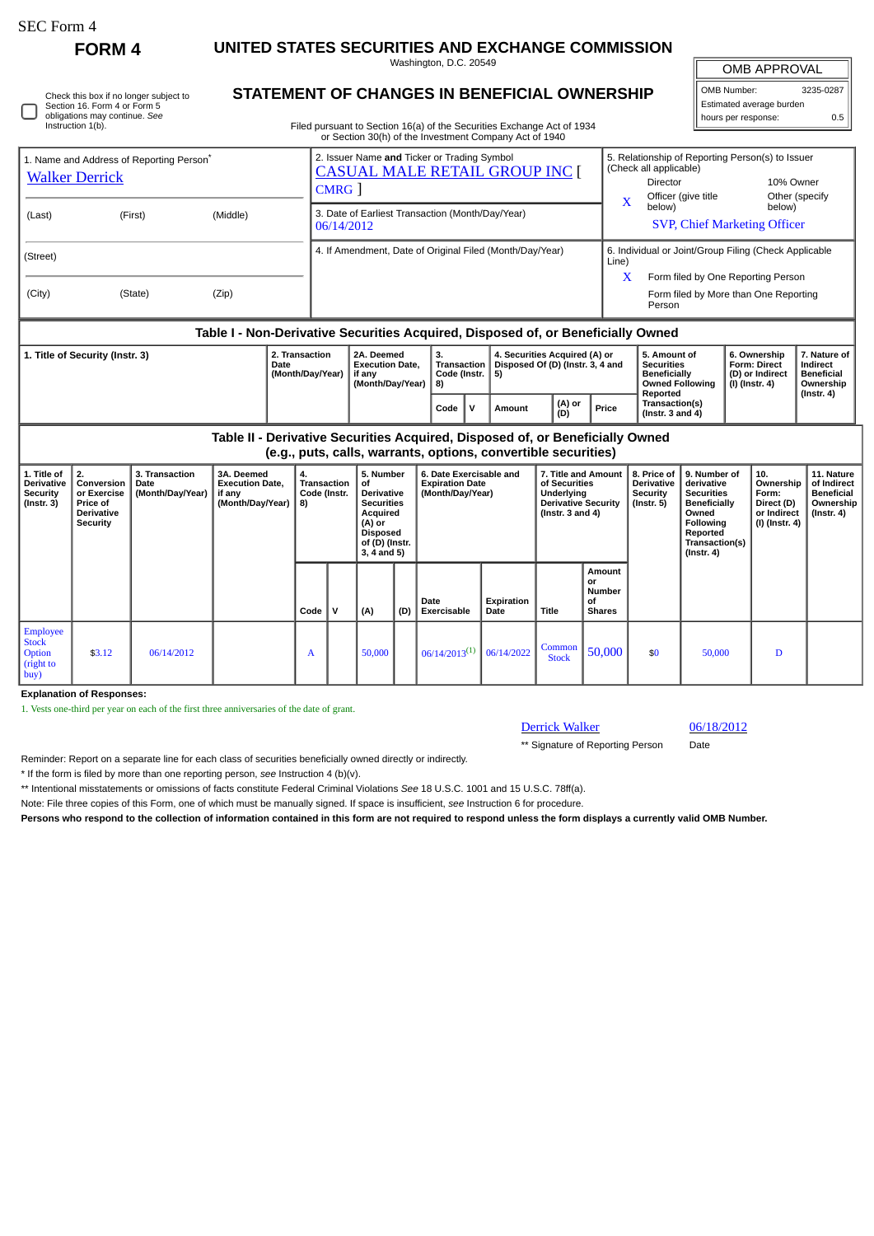П

**FORM 4 UNITED STATES SECURITIES AND EXCHANGE COMMISSION** Washington, D.C. 20549

OMB APPROVAL

| Check this box if no longer subject to |
|----------------------------------------|
| Section 16. Form 4 or Form 5           |
| obligations may continue. See          |
| Instruction 1(b).                      |
|                                        |

## **STATEMENT OF CHANGES IN BENEFICIAL OWNERSHIP**

Filed pursuant to Section 16(a) of the Securities Exchange Act of 1934 or Section 30(h) of the Investment Company Act of 1940

OMB Number: 3235-0287 Estimated average burden hours per response: 0.5

|                                                                                  |         |          |                                                          | or Section Softh of the investment Company Act of 1940                                         |                                                                                                                    |        |                                                                                                                                                        |                                                                                                |                                                                                                               |                                                                                |                                        |  |  |  |  |  |  |  |
|----------------------------------------------------------------------------------|---------|----------|----------------------------------------------------------|------------------------------------------------------------------------------------------------|--------------------------------------------------------------------------------------------------------------------|--------|--------------------------------------------------------------------------------------------------------------------------------------------------------|------------------------------------------------------------------------------------------------|---------------------------------------------------------------------------------------------------------------|--------------------------------------------------------------------------------|----------------------------------------|--|--|--|--|--|--|--|
| 1. Name and Address of Reporting Person <sup>®</sup><br><b>Walker Derrick</b>    |         |          |                                                          | 2. Issuer Name and Ticker or Trading Symbol<br><b>CASUAL MALE RETAIL GROUP INC [</b><br>CMRG 1 |                                                                                                                    |        |                                                                                                                                                        | $\overline{\mathbf{X}}$                                                                        | 5. Relationship of Reporting Person(s) to Issuer<br>(Check all applicable)<br>Director<br>Officer (give title | 10% Owner                                                                      | Other (specify                         |  |  |  |  |  |  |  |
| (Last)                                                                           | (First) | (Middle) |                                                          | 3. Date of Earliest Transaction (Month/Day/Year)<br>06/14/2012                                 |                                                                                                                    |        |                                                                                                                                                        |                                                                                                |                                                                                                               | below)                                                                         | below)<br>SVP, Chief Marketing Officer |  |  |  |  |  |  |  |
| (Street)                                                                         |         |          | 4. If Amendment, Date of Original Filed (Month/Day/Year) |                                                                                                |                                                                                                                    |        |                                                                                                                                                        |                                                                                                | 6. Individual or Joint/Group Filing (Check Applicable<br>Line)                                                |                                                                                |                                        |  |  |  |  |  |  |  |
| (City)                                                                           | (State) | (Zip)    |                                                          |                                                                                                |                                                                                                                    |        |                                                                                                                                                        | X                                                                                              | Form filed by One Reporting Person<br>Form filed by More than One Reporting<br>Person                         |                                                                                |                                        |  |  |  |  |  |  |  |
| Table I - Non-Derivative Securities Acquired, Disposed of, or Beneficially Owned |         |          |                                                          |                                                                                                |                                                                                                                    |        |                                                                                                                                                        |                                                                                                |                                                                                                               |                                                                                |                                        |  |  |  |  |  |  |  |
| 1. Title of Security (Instr. 3)<br>Date                                          |         |          | 2. Transaction<br>(Month/Day/Year)                       | 2A. Deemed<br><b>Execution Date.</b><br>if any<br>(Month/Day/Year)                             | 4. Securities Acquired (A) or<br>3.<br>Transaction   Disposed Of (D) (Instr. 3, 4 and<br>Code (Instr. $ 5$ )<br>8) |        |                                                                                                                                                        | 5. Amount of<br><b>Securities</b><br><b>Beneficially</b><br><b>Owned Following</b><br>Reported | 6. Ownership<br><b>Form: Direct</b><br>(D) or Indirect<br>(I) (Instr. 4)                                      | 7. Nature of<br>Indirect<br><b>Beneficial</b><br>Ownership<br>$($ Instr. 4 $)$ |                                        |  |  |  |  |  |  |  |
|                                                                                  |         |          |                                                          | Code                                                                                           | v                                                                                                                  | Amount | (A) or<br>(D)                                                                                                                                          | Price                                                                                          | Transaction(s)<br>(Instr. $3$ and $4$ )                                                                       |                                                                                |                                        |  |  |  |  |  |  |  |
|                                                                                  |         |          |                                                          |                                                                                                |                                                                                                                    |        | tradades de la Registrada de Alexandria e la Alexandra de la Registra de La California de la California de la C<br><b>C</b> at all the Assessment<br>. |                                                                                                |                                                                                                               |                                                                                |                                        |  |  |  |  |  |  |  |

**Table II - Derivative Securities Acquired, Disposed of, or Beneficially Owned (e.g., puts, calls, warrants, options, convertible securities)**

| 1. Title of<br>Derivative<br><b>Security</b><br>$($ Instr. 3 $)$ | 2.<br>Conversion<br>or Exercise<br><b>Price of</b><br>Derivative<br>Security | 3. Transaction<br>Date<br>(Month/Day/Year) | 3A. Deemed<br><b>Execution Date,</b><br>if any<br>(Month/Day/Year) | 4.<br>Transaction<br>Code (Instr.<br>8) |   | 5. Number<br>οf<br><b>Derivative</b><br><b>Securities</b><br>Acquired<br>(A) or<br><b>Disposed</b><br>of (D) (Instr.<br>$3, 4$ and $5)$ |     | 6. Date Exercisable and<br><b>Expiration Date</b><br>(Month/Day/Year) |                    | 7. Title and Amount 1<br>of Securities<br>Underlying<br><b>Derivative Security</b><br>(Instr. $3$ and $4$ ) |                                               | 8. Price of<br>Derivative<br>Security<br>(Instr. 5) | 9. Number of<br>derivative<br><b>Securities</b><br>Beneficially<br>Owned<br><b>Following</b><br>Reported<br>Transaction(s)<br>$($ lnstr. 4 $)$ | 10.<br>Ownership<br>Form:<br>Direct (D)<br>or Indirect<br>  (I) (Instr. 4) | 11. Nature<br>of Indirect<br><b>Beneficial</b><br>Ownership<br>(Instr. 4) |
|------------------------------------------------------------------|------------------------------------------------------------------------------|--------------------------------------------|--------------------------------------------------------------------|-----------------------------------------|---|-----------------------------------------------------------------------------------------------------------------------------------------|-----|-----------------------------------------------------------------------|--------------------|-------------------------------------------------------------------------------------------------------------|-----------------------------------------------|-----------------------------------------------------|------------------------------------------------------------------------------------------------------------------------------------------------|----------------------------------------------------------------------------|---------------------------------------------------------------------------|
|                                                                  |                                                                              |                                            |                                                                    | Code                                    | v | (A)                                                                                                                                     | (D) | Date<br><b>Exercisable</b>                                            | Expiration<br>Date | Title                                                                                                       | Amount<br>or<br>Number<br>οf<br><b>Shares</b> |                                                     |                                                                                                                                                |                                                                            |                                                                           |
| Employee<br><b>Stock</b><br>Option<br>(right to<br>buy)          | \$3.12                                                                       | 06/14/2012                                 |                                                                    | A                                       |   | 50,000                                                                                                                                  |     | $06/14/2013^{(1)}$                                                    | 06/14/2022         | Common<br><b>Stock</b>                                                                                      | 50,000                                        | \$0                                                 | 50,000                                                                                                                                         | D                                                                          |                                                                           |

**Explanation of Responses:**

1. Vests one-third per year on each of the first three anniversaries of the date of grant.

## Derrick Walker 06/18/2012

\*\* Signature of Reporting Person Date

Reminder: Report on a separate line for each class of securities beneficially owned directly or indirectly.

\* If the form is filed by more than one reporting person, *see* Instruction 4 (b)(v).

\*\* Intentional misstatements or omissions of facts constitute Federal Criminal Violations *See* 18 U.S.C. 1001 and 15 U.S.C. 78ff(a).

Note: File three copies of this Form, one of which must be manually signed. If space is insufficient, *see* Instruction 6 for procedure.

**Persons who respond to the collection of information contained in this form are not required to respond unless the form displays a currently valid OMB Number.**